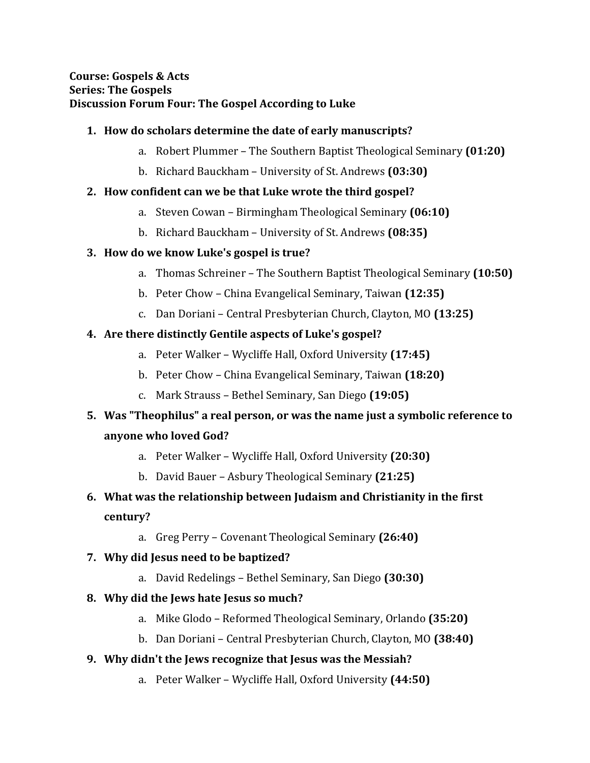#### **1. How do scholars determine the date of early manuscripts?**

- a. Robert Plummer The Southern Baptist Theological Seminary **(01:20)**
- b. Richard Bauckham University of St. Andrews **(03:30)**

#### **2. How confident can we be that Luke wrote the third gospel?**

- a. Steven Cowan Birmingham Theological Seminary **(06:10)**
- b. Richard Bauckham University of St. Andrews **(08:35)**

# **3. How do we know Luke's gospel is true?**

- a. Thomas Schreiner The Southern Baptist Theological Seminary **(10:50)**
- b. Peter Chow China Evangelical Seminary, Taiwan **(12:35)**
- c. Dan Doriani Central Presbyterian Church, Clayton, MO **(13:25)**

# **4. Are there distinctly Gentile aspects of Luke's gospel?**

- a. Peter Walker Wycliffe Hall, Oxford University **(17:45)**
- b. Peter Chow China Evangelical Seminary, Taiwan **(18:20)**
- c. Mark Strauss Bethel Seminary, San Diego **(19:05)**

# **5. Was "Theophilus" a real person, or was the name just a symbolic reference to anyone who loved God?**

- a. Peter Walker Wycliffe Hall, Oxford University **(20:30)**
- b. David Bauer Asbury Theological Seminary **(21:25)**
- **6. What was the relationship between Judaism and Christianity in the first century?** 
	- a. Greg Perry Covenant Theological Seminary **(26:40)**

# **7. Why did Jesus need to be baptized?**

a. David Redelings – Bethel Seminary, San Diego **(30:30)**

# **8. Why did the Jews hate Jesus so much?**

- a. Mike Glodo Reformed Theological Seminary, Orlando **(35:20)**
- b. Dan Doriani Central Presbyterian Church, Clayton, MO **(38:40)**

# **9. Why didn't the Jews recognize that Jesus was the Messiah?**

a. Peter Walker – Wycliffe Hall, Oxford University **(44:50)**